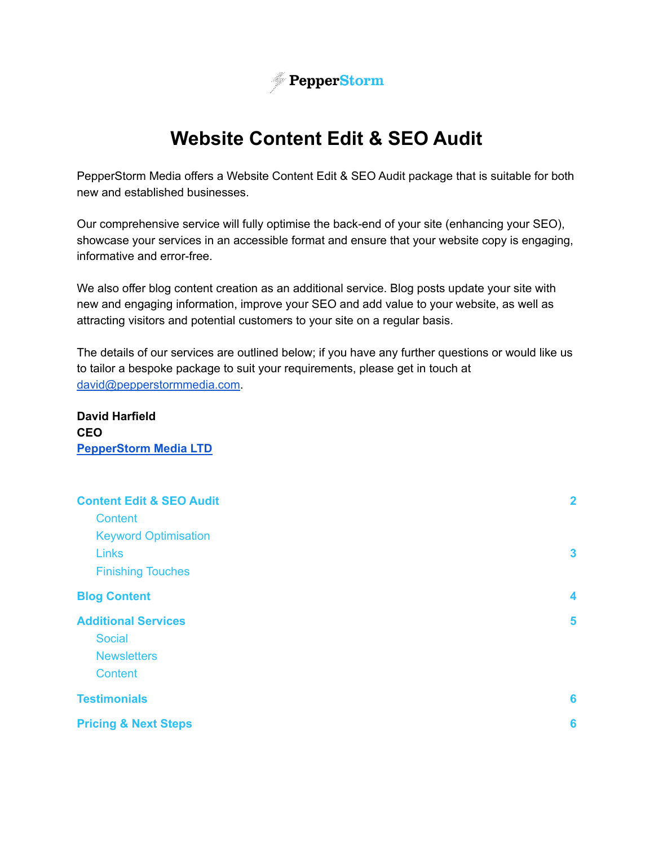

## **Website Content Edit & SEO Audit**

PepperStorm Media offers a Website Content Edit & SEO Audit package that is suitable for both new and established businesses.

Our comprehensive service will fully optimise the back-end of your site (enhancing your SEO), showcase your services in an accessible format and ensure that your website copy is engaging, informative and error-free.

We also offer blog content creation as an additional service. Blog posts update your site with new and engaging information, improve your SEO and add value to your website, as well as attracting visitors and potential customers to your site on a regular basis.

The details of our services are outlined below; if you have any further questions or would like us to tailor a bespoke package to suit your requirements, please get in touch at [david@pepperstormmedia.com.](mailto:david@pepperstormmedia.com)

**David Harfield CEO [PepperStorm](https://pepperstormmedia.com/) Media LTD**

| <b>Content Edit &amp; SEO Audit</b> | $\overline{\mathbf{2}}$ |
|-------------------------------------|-------------------------|
| <b>Content</b>                      |                         |
| <b>Keyword Optimisation</b>         |                         |
| <b>Links</b>                        | $\boldsymbol{3}$        |
| <b>Finishing Touches</b>            |                         |
| <b>Blog Content</b>                 | 4                       |
| <b>Additional Services</b>          | 5                       |
| <b>Social</b>                       |                         |
| <b>Newsletters</b>                  |                         |
| <b>Content</b>                      |                         |
| <b>Testimonials</b>                 | 6                       |
| <b>Pricing &amp; Next Steps</b>     | 6                       |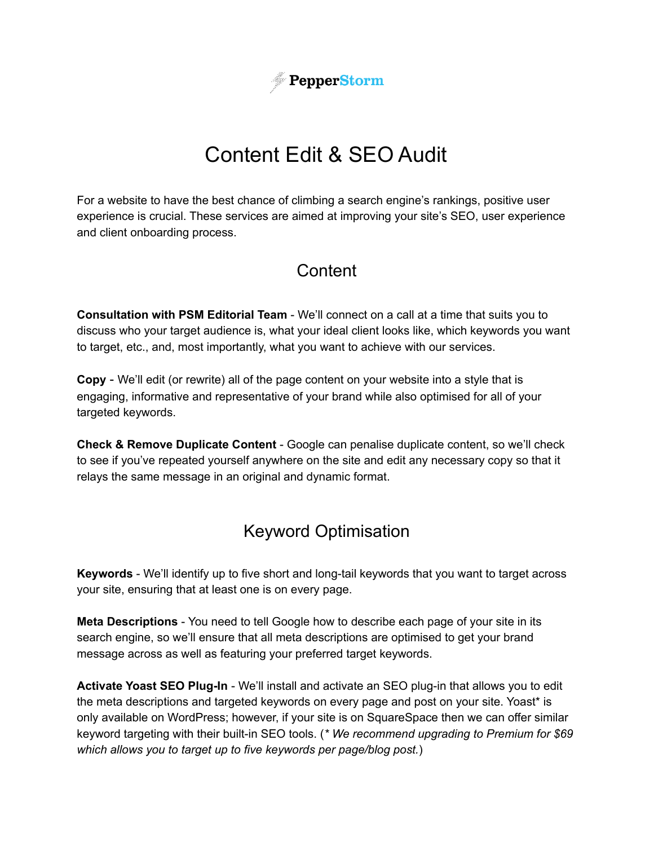

# Content Edit & SEO Audit

<span id="page-1-1"></span><span id="page-1-0"></span>For a website to have the best chance of climbing a search engine's rankings, positive user experience is crucial. These services are aimed at improving your site's SEO, user experience and client onboarding process.

### **Content**

**Consultation with PSM Editorial Team** - We'll connect on a call at a time that suits you to discuss who your target audience is, what your ideal client looks like, which keywords you want to target, etc., and, most importantly, what you want to achieve with our services.

**Copy** - We'll edit (or rewrite) all of the page content on your website into a style that is engaging, informative and representative of your brand while also optimised for all of your targeted keywords.

<span id="page-1-2"></span>**Check & Remove Duplicate Content** - Google can penalise duplicate content, so we'll check to see if you've repeated yourself anywhere on the site and edit any necessary copy so that it relays the same message in an original and dynamic format.

### Keyword Optimisation

**Keywords** - We'll identify up to five short and long-tail keywords that you want to target across your site, ensuring that at least one is on every page.

**Meta Descriptions** - You need to tell Google how to describe each page of your site in its search engine, so we'll ensure that all meta descriptions are optimised to get your brand message across as well as featuring your preferred target keywords.

**Activate Yoast SEO Plug-In** - We'll install and activate an SEO plug-in that allows you to edit the meta descriptions and targeted keywords on every page and post on your site. Yoast\* is only available on WordPress; however, if your site is on SquareSpace then we can offer similar keyword targeting with their built-in SEO tools. (*\* We recommend upgrading to Premium for \$69 which allows you to target up to five keywords per page/blog post.*)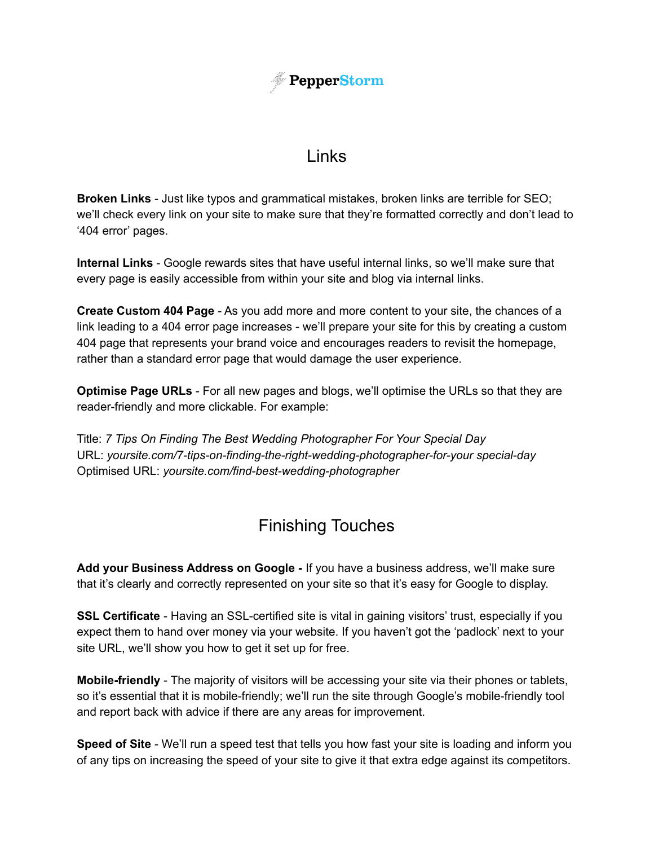

### Links

<span id="page-2-0"></span>**Broken Links** - Just like typos and grammatical mistakes, broken links are terrible for SEO; we'll check every link on your site to make sure that they're formatted correctly and don't lead to '404 error' pages.

**Internal Links** - Google rewards sites that have useful internal links, so we'll make sure that every page is easily accessible from within your site and blog via internal links.

**Create Custom 404 Page** - As you add more and more content to your site, the chances of a link leading to a 404 error page increases - we'll prepare your site for this by creating a custom 404 page that represents your brand voice and encourages readers to revisit the homepage, rather than a standard error page that would damage the user experience.

**Optimise Page URLs** - For all new pages and blogs, we'll optimise the URLs so that they are reader-friendly and more clickable. For example:

<span id="page-2-1"></span>Title: *7 Tips On Finding The Best Wedding Photographer For Your Special Day* URL: *yoursite.com/7-tips-on-finding-the-right-wedding-photographer-for-your special-day* Optimised URL: *yoursite.com/find-best-wedding-photographer*

## Finishing Touches

**Add your Business Address on Google -** If you have a business address, we'll make sure that it's clearly and correctly represented on your site so that it's easy for Google to display.

**SSL Certificate** - Having an SSL-certified site is vital in gaining visitors' trust, especially if you expect them to hand over money via your website. If you haven't got the 'padlock' next to your site URL, we'll show you how to get it set up for free.

**Mobile-friendly** - The majority of visitors will be accessing your site via their phones or tablets, so it's essential that it is mobile-friendly; we'll run the site through Google's mobile-friendly tool and report back with advice if there are any areas for improvement.

**Speed of Site** - We'll run a speed test that tells you how fast your site is loading and inform you of any tips on increasing the speed of your site to give it that extra edge against its competitors.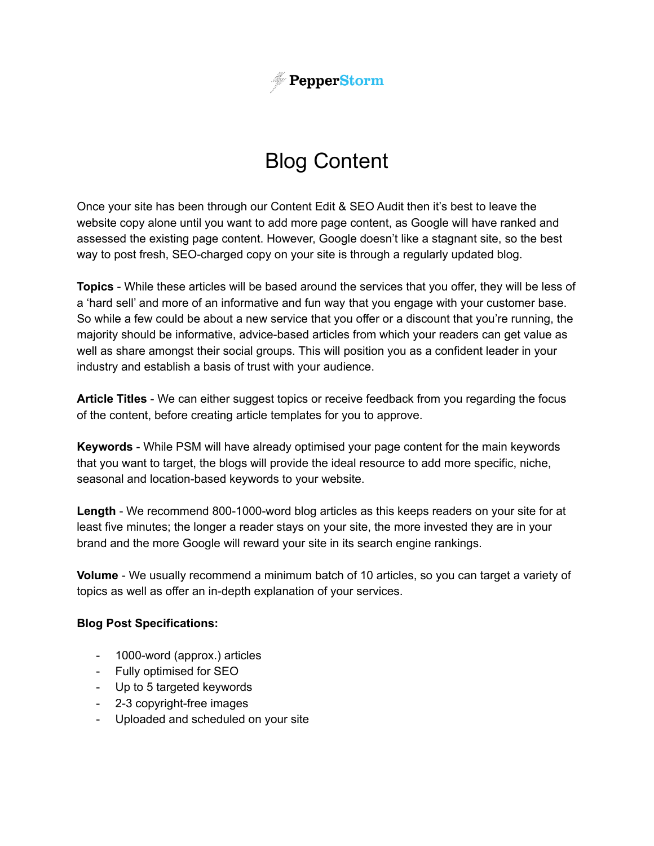

# Blog Content

<span id="page-3-0"></span>Once your site has been through our Content Edit & SEO Audit then it's best to leave the website copy alone until you want to add more page content, as Google will have ranked and assessed the existing page content. However, Google doesn't like a stagnant site, so the best way to post fresh, SEO-charged copy on your site is through a regularly updated blog.

**Topics** - While these articles will be based around the services that you offer, they will be less of a 'hard sell' and more of an informative and fun way that you engage with your customer base. So while a few could be about a new service that you offer or a discount that you're running, the majority should be informative, advice-based articles from which your readers can get value as well as share amongst their social groups. This will position you as a confident leader in your industry and establish a basis of trust with your audience.

**Article Titles** - We can either suggest topics or receive feedback from you regarding the focus of the content, before creating article templates for you to approve.

**Keywords** - While PSM will have already optimised your page content for the main keywords that you want to target, the blogs will provide the ideal resource to add more specific, niche, seasonal and location-based keywords to your website.

**Length** - We recommend 800-1000-word blog articles as this keeps readers on your site for at least five minutes; the longer a reader stays on your site, the more invested they are in your brand and the more Google will reward your site in its search engine rankings.

**Volume** - We usually recommend a minimum batch of 10 articles, so you can target a variety of topics as well as offer an in-depth explanation of your services.

#### **Blog Post Specifications:**

- 1000-word (approx.) articles
- Fully optimised for SEO
- Up to 5 targeted keywords
- 2-3 copyright-free images
- Uploaded and scheduled on your site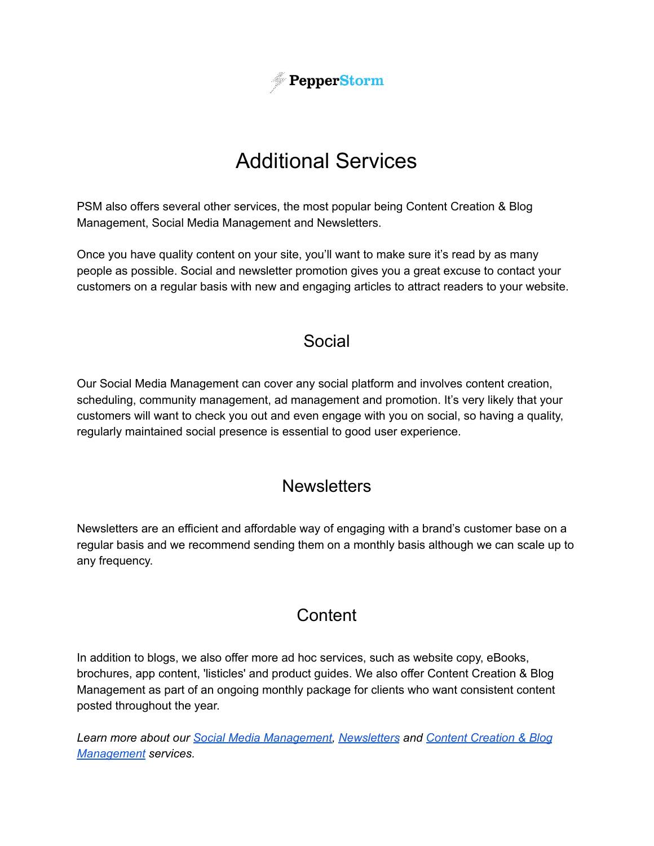

# Additional Services

<span id="page-4-0"></span>PSM also offers several other services, the most popular being Content Creation & Blog Management, Social Media Management and Newsletters.

<span id="page-4-1"></span>Once you have quality content on your site, you'll want to make sure it's read by as many people as possible. Social and newsletter promotion gives you a great excuse to contact your customers on a regular basis with new and engaging articles to attract readers to your website.

### Social

Our Social Media Management can cover any social platform and involves content creation, scheduling, community management, ad management and promotion. It's very likely that your customers will want to check you out and even engage with you on social, so having a quality, regularly maintained social presence is essential to good user experience.

### **Newsletters**

<span id="page-4-3"></span><span id="page-4-2"></span>Newsletters are an efficient and affordable way of engaging with a brand's customer base on a regular basis and we recommend sending them on a monthly basis although we can scale up to any frequency.

### **Content**

In addition to blogs, we also offer more ad hoc services, such as website copy, eBooks, brochures, app content, 'listicles' and product guides. We also offer Content Creation & Blog Management as part of an ongoing monthly package for clients who want consistent content posted throughout the year.

*Learn more about our Social Media [Management,](http://pepperstormmedia.com/social-media-management) [Newsletters](http://pepperstormmedia.com/newsletters) and Content [Creation](https://pepperstormmedia.com/content-creation-blog-management/) & Blog [Management](https://pepperstormmedia.com/content-creation-blog-management/) services.*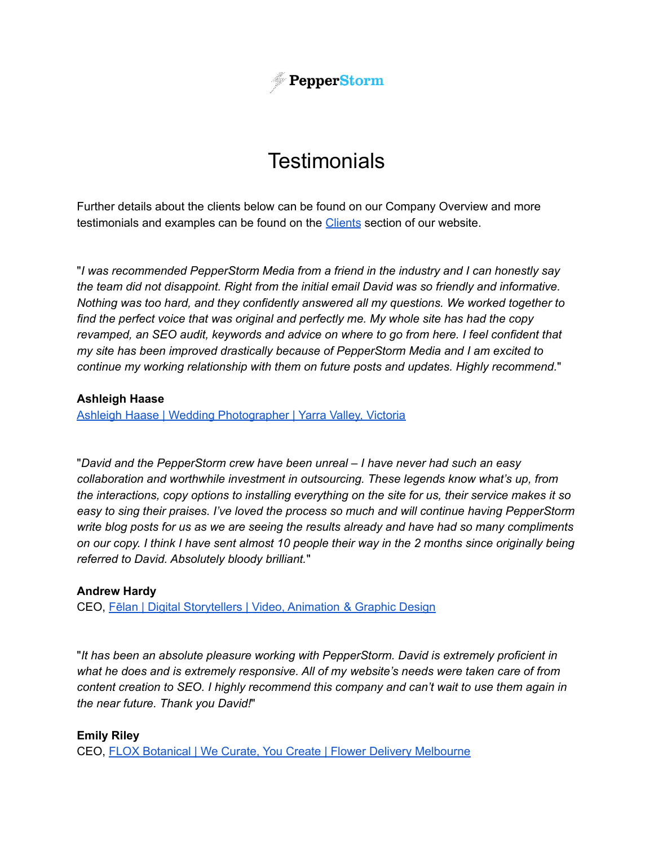

## **Testimonials**

<span id="page-5-0"></span>Further details about the clients below can be found on our Company Overview and more testimonials and examples can be found on the **[Clients](https://pepperstormmedia.com/clients/)** section of our website.

"*I was recommended PepperStorm Media from a friend in the industry and I can honestly say the team did not disappoint. Right from the initial email David was so friendly and informative. Nothing was too hard, and they confidently answered all my questions. We worked together to find the perfect voice that was original and perfectly me. My whole site has had the copy revamped, an SEO audit, keywords and advice on where to go from here. I feel confident that my site has been improved drastically because of PepperStorm Media and I am excited to continue my working relationship with them on future posts and updates. Highly recommend.*"

#### **Ashleigh Haase**

Ashleigh Haase | Wedding [Photographer](https://ashleighhaase.com/) | Yarra Valley, Victoria

"*David and the PepperStorm crew have been unreal – I have never had such an easy collaboration and worthwhile investment in outsourcing. These legends know what's up, from the interactions, copy options to installing everything on the site for us, their service makes it so easy to sing their praises. I've loved the process so much and will continue having PepperStorm write blog posts for us as we are seeing the results already and have had so many compliments* on our copy. I think I have sent almost 10 people their way in the 2 months since originally being *referred to David. Absolutely bloody brilliant.*"

#### **Andrew Hardy**

CEO, Fēlan | Digital [Storytellers](https://felan.io/) | Video, Animation & Graphic Design

"*It has been an absolute pleasure working with PepperStorm. David is extremely proficient in what he does and is extremely responsive. All of my website's needs were taken care of from content creation to SEO. I highly recommend this company and can't wait to use them again in the near future. Thank you David!*"

#### **Emily Riley**

CEO, FLOX Botanical | We Curate, You Create | Flower Delivery [Melbourne](https://www.floxbotanical.com.au/)